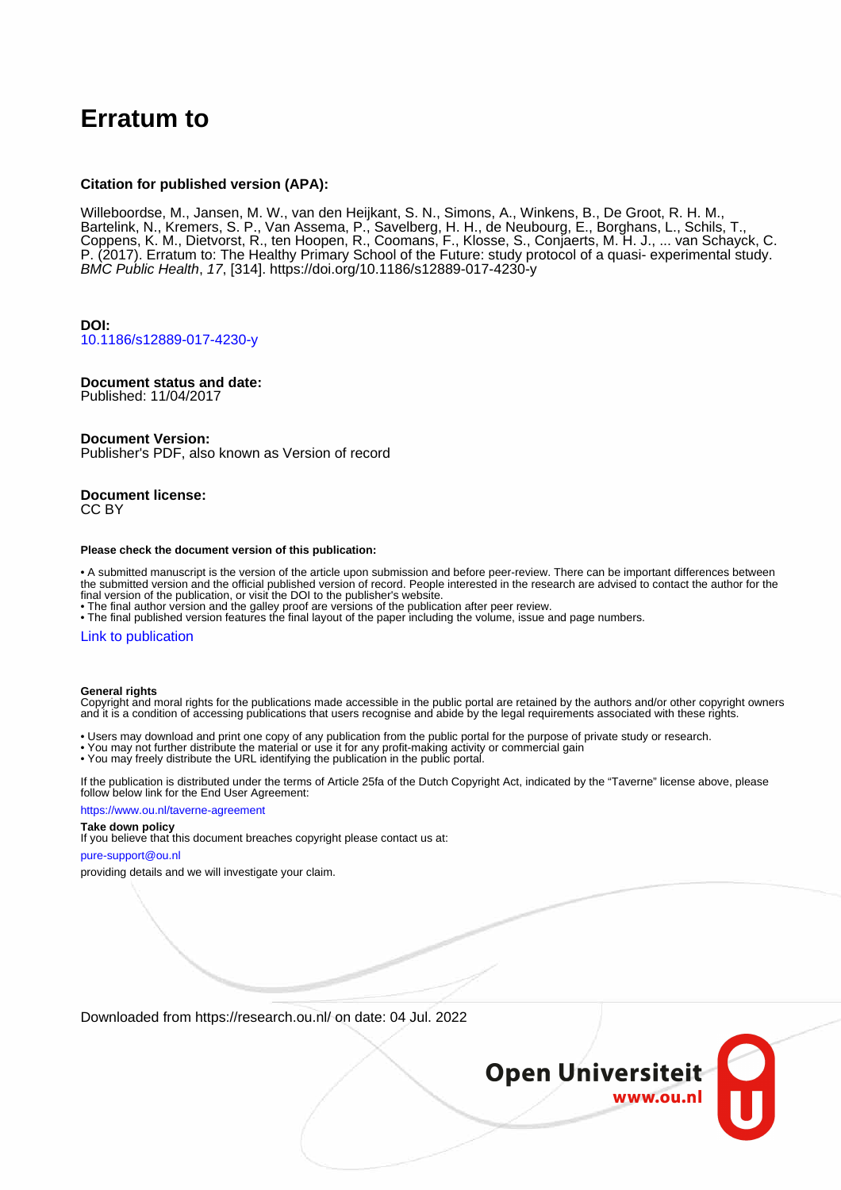## **Erratum to**

#### **Citation for published version (APA):**

Willeboordse, M., Jansen, M. W., van den Heijkant, S. N., Simons, A., Winkens, B., De Groot, R. H. M., Bartelink, N., Kremers, S. P., Van Assema, P., Savelberg, H. H., de Neubourg, E., Borghans, L., Schils, T., Coppens, K. M., Dietvorst, R., ten Hoopen, R., Coomans, F., Klosse, S., Conjaerts, M. H. J., ... van Schayck, C. P. (2017). Erratum to: The Healthy Primary School of the Future: study protocol of a quasi- experimental study. BMC Public Health, 17, [314]. <https://doi.org/10.1186/s12889-017-4230-y>

#### **DOI:** [10.1186/s12889-017-4230-y](https://doi.org/10.1186/s12889-017-4230-y)

#### **Document status and date:**

Published: 11/04/2017

#### **Document Version:**

Publisher's PDF, also known as Version of record

#### **Document license:** CC BY

#### **Please check the document version of this publication:**

• A submitted manuscript is the version of the article upon submission and before peer-review. There can be important differences between the submitted version and the official published version of record. People interested in the research are advised to contact the author for the final version of the publication, or visit the DOI to the publisher's website.

• The final author version and the galley proof are versions of the publication after peer review.

• The final published version features the final layout of the paper including the volume, issue and page numbers.

#### [Link to publication](https://research.ou.nl/en/publications/b2cbb6f9-6bcd-40ed-8f9e-ef467917392b)

#### **General rights**

Copyright and moral rights for the publications made accessible in the public portal are retained by the authors and/or other copyright owners and it is a condition of accessing publications that users recognise and abide by the legal requirements associated with these rights.

- Users may download and print one copy of any publication from the public portal for the purpose of private study or research.
- You may not further distribute the material or use it for any profit-making activity or commercial gain
- You may freely distribute the URL identifying the publication in the public portal.

If the publication is distributed under the terms of Article 25fa of the Dutch Copyright Act, indicated by the "Taverne" license above, please follow below link for the End User Agreement:

#### https://www.ou.nl/taverne-agreement

### **Take down policy**

If you believe that this document breaches copyright please contact us at:

#### pure-support@ou.nl

providing details and we will investigate your claim.

Downloaded from https://research.ou.nl/ on date: 04 Jul. 2022